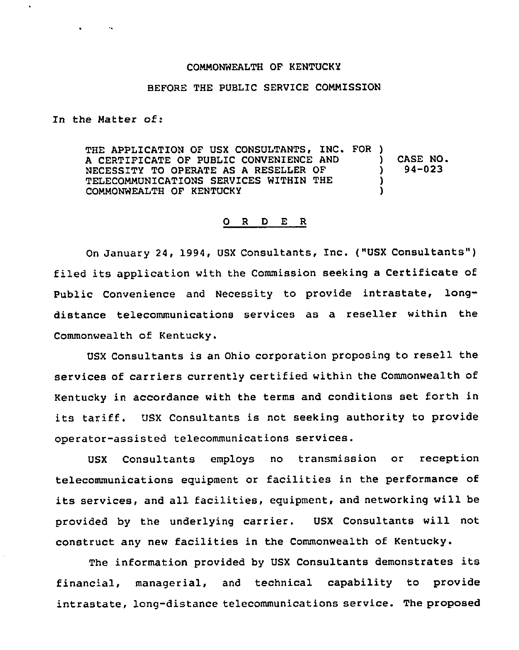## COMMONWEALTH OF KENTUCKY

## BEFORE THE PUBLIC SERVICE COMMISSION

In the Matter of:

THE APPLICATION OF USX CONSULTANTS, INC. FOR ) A CERTIFICATE OF PUBLIC CONVENIENCE AND NECESSITY TO OPERATE AS A RESELLER OF TELECOMMUNICATIONS SERVICES WITHIN THE COMMONWEALTH OF KENTUCKY ) CASE NO. ) 94-023 ) )

## 0 R D E R

On January 24, 1994, USX Consultants, Inc. ("USX Consultants" ) filed its application with the Commission seeking a Certificate of Public Convenience and Necessity to provide intrastate, longdistance telecommunications services as a reseller within the Commonwealth of Kentucky.

USX Consultants is an Ohio corporation proposing to resell the services of carriers currently certified within the Commonwealth of Kentucky in accordance with the terms and conditions set forth in its tariff. USX Consultants is not seeking authority to provide operator-assisted telecommunications services.

USX Consultants employs no transmission or reception telecommunications equipment or facilities in the performance of its services, and all facilities, equipment, and networking will be provided by the underlying carrier. USX Consultants will not construct any new facilities in the Commonwealth of Kentucky.

The information provided by USX Consultants demonstrates its financial, managerial, and technical capability to provide intrastate, long-distance telecommunications service. The proposed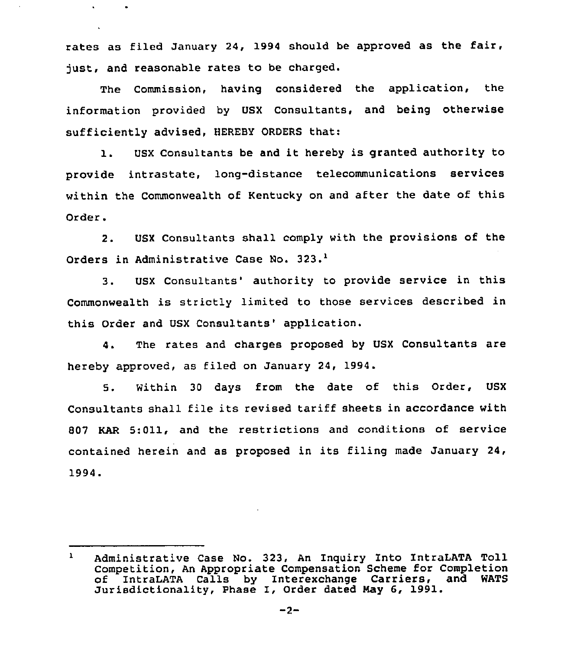rates as filed January 24, 1994 should be approved as the fair, just, and reasonable rates to be charged.

The Commission, having considered the application, the information provided by USX Consultants, and being otherwise sufficiently advised, HEREBY ORDERS that:

l. USX Consultants be and it hereby is granted authority to provide intrastate, long-distance telecommunications services within the Commonwealth of Kentucky on and after the date of this Order.

2. USX Consultants shall comply with the provisions of the Orders in Administrative Case No. 323.<sup>1</sup>

USX Consultants' authority to provide service in this  $3 -$ Commonwealth is strictly limited to those services described in this Order and USX Consultants' application.

4. The rates and charges proposed by USX Consultants are hereby approved, as filed on January 24, 1994.

5. Within 30 days from the date of this Order, USX Consultants shall file its revised tariff sheets in accordance with 807 KAR 5:Oll, and the restrictions and conditions of service contained herein and as proposed in its filing made January 24, 1994.

Administrative Case No. 323, An Inquiry Into IntraLATA Toll Competition, An Appropriate Compensation Scheme for Completion of IntraLATA Calls by Interexchange Carriers, and WATS Jurisdictionality, Phase I, Order dated May 6, 1991.